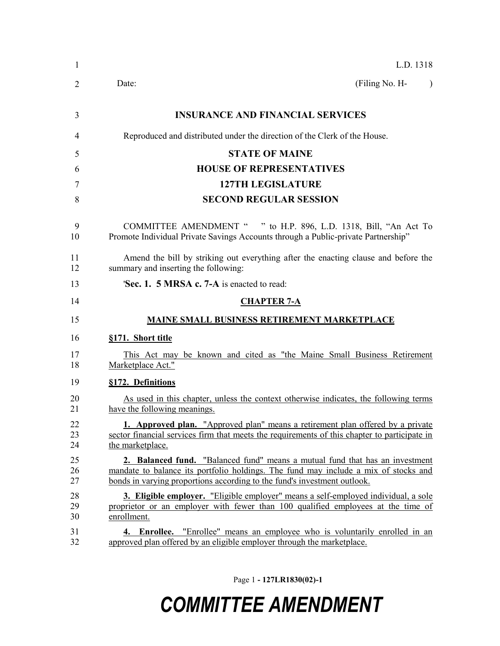| 1              | L.D. 1318                                                                                                                                                                                                                                       |  |  |  |
|----------------|-------------------------------------------------------------------------------------------------------------------------------------------------------------------------------------------------------------------------------------------------|--|--|--|
| 2              | (Filing No. H-<br>Date:<br>$\lambda$                                                                                                                                                                                                            |  |  |  |
| 3              | <b>INSURANCE AND FINANCIAL SERVICES</b>                                                                                                                                                                                                         |  |  |  |
| 4              | Reproduced and distributed under the direction of the Clerk of the House.                                                                                                                                                                       |  |  |  |
| 5              | <b>STATE OF MAINE</b>                                                                                                                                                                                                                           |  |  |  |
| 6              | <b>HOUSE OF REPRESENTATIVES</b>                                                                                                                                                                                                                 |  |  |  |
| 7              | <b>127TH LEGISLATURE</b>                                                                                                                                                                                                                        |  |  |  |
| 8              | <b>SECOND REGULAR SESSION</b>                                                                                                                                                                                                                   |  |  |  |
| 9<br>10        | COMMITTEE AMENDMENT " " to H.P. 896, L.D. 1318, Bill, "An Act To<br>Promote Individual Private Savings Accounts through a Public-private Partnership"                                                                                           |  |  |  |
| 11<br>12       | Amend the bill by striking out everything after the enacting clause and before the<br>summary and inserting the following:                                                                                                                      |  |  |  |
| 13             | 'Sec. 1. 5 MRSA c. 7-A is enacted to read:                                                                                                                                                                                                      |  |  |  |
| 14             | <b>CHAPTER 7-A</b>                                                                                                                                                                                                                              |  |  |  |
| 15             | <b>MAINE SMALL BUSINESS RETIREMENT MARKETPLACE</b>                                                                                                                                                                                              |  |  |  |
| 16             | §171. Short title                                                                                                                                                                                                                               |  |  |  |
| 17<br>18       | This Act may be known and cited as "the Maine Small Business Retirement<br>Marketplace Act."                                                                                                                                                    |  |  |  |
| 19             | §172. Definitions                                                                                                                                                                                                                               |  |  |  |
| 20<br>21       | As used in this chapter, unless the context otherwise indicates, the following terms<br>have the following meanings.                                                                                                                            |  |  |  |
| 22<br>23<br>24 | 1. Approved plan. "Approved plan" means a retirement plan offered by a private<br>sector financial services firm that meets the requirements of this chapter to participate in<br>the marketplace.                                              |  |  |  |
| 25<br>26<br>27 | 2. Balanced fund. "Balanced fund" means a mutual fund that has an investment<br>mandate to balance its portfolio holdings. The fund may include a mix of stocks and<br>bonds in varying proportions according to the fund's investment outlook. |  |  |  |
| 28<br>29<br>30 | <b>3. Eligible employer.</b> "Eligible employer" means a self-employed individual, a sole<br>proprietor or an employer with fewer than 100 qualified employees at the time of<br>enrollment.                                                    |  |  |  |
| 31<br>32       | <b>4. Enrollee.</b> "Enrollee" means an employee who is voluntarily enrolled in an<br>approved plan offered by an eligible employer through the marketplace.                                                                                    |  |  |  |

Page 1 **- 127LR1830(02)-1**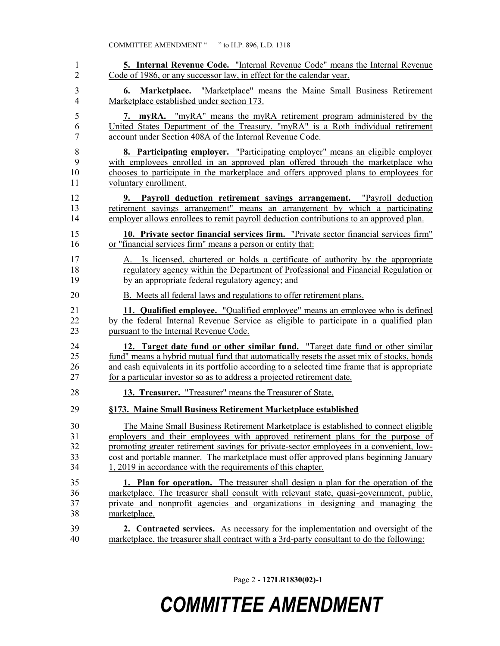| 1              | <b>5. Internal Revenue Code.</b> "Internal Revenue Code" means the Internal Revenue          |
|----------------|----------------------------------------------------------------------------------------------|
| $\overline{2}$ | Code of 1986, or any successor law, in effect for the calendar year.                         |
| 3              | <b>6. Marketplace.</b> "Marketplace" means the Maine Small Business Retirement               |
| $\overline{4}$ | Marketplace established under section 173.                                                   |
| 5              | 7. myRA. "myRA" means the myRA retirement program administered by the                        |
| 6              | United States Department of the Treasury. "myRA" is a Roth individual retirement             |
| 7              | account under Section 408A of the Internal Revenue Code.                                     |
| 8              | <b>8. Participating employer.</b> "Participating employer" means an eligible employer        |
| 9              | with employees enrolled in an approved plan offered through the marketplace who              |
| 10             | chooses to participate in the marketplace and offers approved plans to employees for         |
| 11             | voluntary enrollment.                                                                        |
| 12             | 9. Payroll deduction retirement savings arrangement. "Payroll deduction                      |
| 13             | retirement savings arrangement" means an arrangement by which a participating                |
| 14             | employer allows enrollees to remit payroll deduction contributions to an approved plan.      |
| 15             | 10. Private sector financial services firm. "Private sector financial services firm"         |
| 16             | or "financial services firm" means a person or entity that:                                  |
| 17             | A. Is licensed, chartered or holds a certificate of authority by the appropriate             |
| 18             | regulatory agency within the Department of Professional and Financial Regulation or          |
| 19             | by an appropriate federal regulatory agency; and                                             |
| 20             | B. Meets all federal laws and regulations to offer retirement plans.                         |
| 21             | 11. Qualified employee. "Qualified employee" means an employee who is defined                |
| 22             | by the federal Internal Revenue Service as eligible to participate in a qualified plan       |
| 23             | pursuant to the Internal Revenue Code.                                                       |
| 24             | 12. Target date fund or other similar fund. "Target date fund or other similar               |
| 25             | fund" means a hybrid mutual fund that automatically resets the asset mix of stocks, bonds    |
| 26             | and cash equivalents in its portfolio according to a selected time frame that is appropriate |
| 27             | for a particular investor so as to address a projected retirement date.                      |
| 28             | 13. Treasurer. "Treasurer" means the Treasurer of State.                                     |
| 29             | §173. Maine Small Business Retirement Marketplace established                                |
| $30\,$         | The Maine Small Business Retirement Marketplace is established to connect eligible           |
| 31             | employers and their employees with approved retirement plans for the purpose of              |
| 32             | promoting greater retirement savings for private-sector employees in a convenient, low-      |
| 33             | cost and portable manner. The marketplace must offer approved plans beginning January        |
| 34             | 1, 2019 in accordance with the requirements of this chapter.                                 |
| 35             | 1. Plan for operation. The treasurer shall design a plan for the operation of the            |
| 36             | marketplace. The treasurer shall consult with relevant state, quasi-government, public,      |
| 37             | private and nonprofit agencies and organizations in designing and managing the               |
| 38             | marketplace.                                                                                 |
| 39             | <b>2. Contracted services.</b> As necessary for the implementation and oversight of the      |
| 40             | marketplace, the treasurer shall contract with a 3rd-party consultant to do the following:   |

Page 2 **- 127LR1830(02)-1**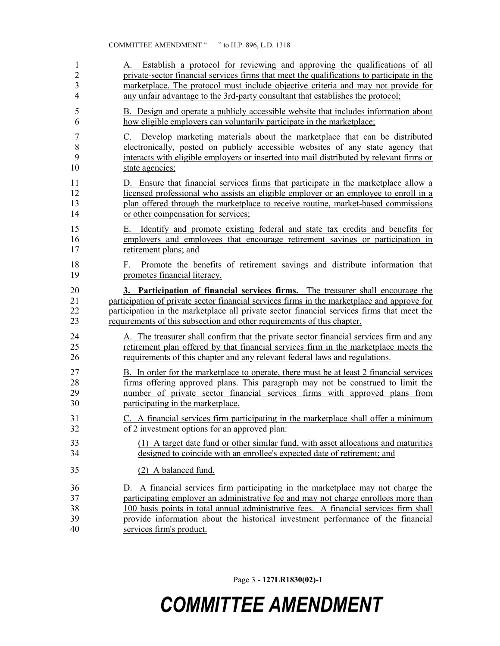| 1              | A. Establish a protocol for reviewing and approving the qualifications of all                                    |
|----------------|------------------------------------------------------------------------------------------------------------------|
| $\overline{2}$ | private-sector financial services firms that meet the qualifications to participate in the                       |
| 3              | marketplace. The protocol must include objective criteria and may not provide for                                |
| $\overline{4}$ | any unfair advantage to the 3rd-party consultant that establishes the protocol;                                  |
| 5              | B. Design and operate a publicly accessible website that includes information about                              |
| 6              | how eligible employers can voluntarily participate in the marketplace;                                           |
| 7              | Develop marketing materials about the marketplace that can be distributed                                        |
| 8              | electronically, posted on publicly accessible websites of any state agency that                                  |
| 9              | interacts with eligible employers or inserted into mail distributed by relevant firms or                         |
| 10             | state agencies;                                                                                                  |
| 11             | D. Ensure that financial services firms that participate in the marketplace allow a                              |
| 12             | licensed professional who assists an eligible employer or an employee to enroll in a                             |
| 13             | plan offered through the marketplace to receive routine, market-based commissions                                |
| 14             | or other compensation for services;                                                                              |
| 15             | E. Identify and promote existing federal and state tax credits and benefits for                                  |
| 16             | employers and employees that encourage retirement savings or participation in                                    |
| 17             | retirement plans; and                                                                                            |
| 18<br>19       | Promote the benefits of retirement savings and distribute information that<br>F.<br>promotes financial literacy. |
| 20             | 3. Participation of financial services firms. The treasurer shall encourage the                                  |
| 21             | participation of private sector financial services firms in the marketplace and approve for                      |
| 22             | participation in the marketplace all private sector financial services firms that meet the                       |
| 23             | requirements of this subsection and other requirements of this chapter.                                          |
| 24             | A. The treasurer shall confirm that the private sector financial services firm and any                           |
| 25             | retirement plan offered by that financial services firm in the marketplace meets the                             |
| 26             | requirements of this chapter and any relevant federal laws and regulations.                                      |
| 27             | B. In order for the marketplace to operate, there must be at least 2 financial services                          |
| 28             | firms offering approved plans. This paragraph may not be construed to limit the                                  |
| 29             | number of private sector financial services firms with approved plans from                                       |
| 30             | participating in the market place.                                                                               |
| 31             | C. A financial services firm participating in the marketplace shall offer a minimum                              |
| 32             | of 2 investment options for an approved plan:                                                                    |
| 33             | (1) A target date fund or other similar fund, with asset allocations and maturities                              |
| 34             | designed to coincide with an enrollee's expected date of retirement; and                                         |
| 35             | (2) A balanced fund.                                                                                             |
| 36             | D. A financial services firm participating in the marketplace may not charge the                                 |
| 37             | participating employer an administrative fee and may not charge enrollees more than                              |
| 38             | 100 basis points in total annual administrative fees. A financial services firm shall                            |
| 39             | provide information about the historical investment performance of the financial                                 |
| 40             | services firm's product.                                                                                         |

Page 3 **- 127LR1830(02)-1**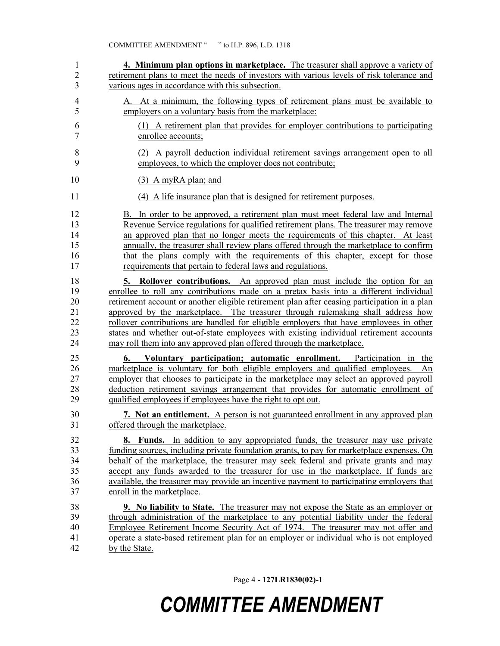| $\mathbf{1}$                           | 4. Minimum plan options in marketplace. The treasurer shall approve a variety of                                                                                                                                                                                                                                                                                                                                                                                                                                                                                                                                              |
|----------------------------------------|-------------------------------------------------------------------------------------------------------------------------------------------------------------------------------------------------------------------------------------------------------------------------------------------------------------------------------------------------------------------------------------------------------------------------------------------------------------------------------------------------------------------------------------------------------------------------------------------------------------------------------|
| $\overline{c}$                         | retirement plans to meet the needs of investors with various levels of risk tolerance and                                                                                                                                                                                                                                                                                                                                                                                                                                                                                                                                     |
| 3                                      | various ages in accordance with this subsection.                                                                                                                                                                                                                                                                                                                                                                                                                                                                                                                                                                              |
| 4                                      | A. At a minimum, the following types of retirement plans must be available to                                                                                                                                                                                                                                                                                                                                                                                                                                                                                                                                                 |
| 5                                      | employers on a voluntary basis from the marketplace:                                                                                                                                                                                                                                                                                                                                                                                                                                                                                                                                                                          |
| 6                                      | (1) A retirement plan that provides for employer contributions to participating                                                                                                                                                                                                                                                                                                                                                                                                                                                                                                                                               |
| 7                                      | enrollee accounts;                                                                                                                                                                                                                                                                                                                                                                                                                                                                                                                                                                                                            |
| $\,$ 8 $\,$                            | (2) A payroll deduction individual retirement savings arrangement open to all                                                                                                                                                                                                                                                                                                                                                                                                                                                                                                                                                 |
| 9                                      | employees, to which the employer does not contribute;                                                                                                                                                                                                                                                                                                                                                                                                                                                                                                                                                                         |
| 10                                     | $(3)$ A myRA plan; and                                                                                                                                                                                                                                                                                                                                                                                                                                                                                                                                                                                                        |
| 11                                     | (4) A life insurance plan that is designed for retirement purposes.                                                                                                                                                                                                                                                                                                                                                                                                                                                                                                                                                           |
| 12                                     | B. In order to be approved, a retirement plan must meet federal law and Internal                                                                                                                                                                                                                                                                                                                                                                                                                                                                                                                                              |
| 13                                     | Revenue Service regulations for qualified retirement plans. The treasurer may remove                                                                                                                                                                                                                                                                                                                                                                                                                                                                                                                                          |
| 14                                     | an approved plan that no longer meets the requirements of this chapter. At least                                                                                                                                                                                                                                                                                                                                                                                                                                                                                                                                              |
| 15                                     | annually, the treasurer shall review plans offered through the marketplace to confirm                                                                                                                                                                                                                                                                                                                                                                                                                                                                                                                                         |
| 16                                     | that the plans comply with the requirements of this chapter, except for those                                                                                                                                                                                                                                                                                                                                                                                                                                                                                                                                                 |
| 17                                     | requirements that pertain to federal laws and regulations.                                                                                                                                                                                                                                                                                                                                                                                                                                                                                                                                                                    |
| 18<br>19<br>20<br>21<br>22<br>23<br>24 | <b>Rollover contributions.</b> An approved plan must include the option for an<br>5.<br>enrollee to roll any contributions made on a pretax basis into a different individual<br>retirement account or another eligible retirement plan after ceasing participation in a plan<br>approved by the marketplace. The treasurer through rulemaking shall address how<br>rollover contributions are handled for eligible employers that have employees in other<br>states and whether out-of-state employees with existing individual retirement accounts<br>may roll them into any approved plan offered through the marketplace. |
| 25<br>26<br>27<br>28<br>29             | Voluntary participation; automatic enrollment. Participation in the<br>6.<br>marketplace is voluntary for both eligible employers and qualified employees.<br>An<br>employer that chooses to participate in the marketplace may select an approved payroll<br>deduction retirement savings arrangement that provides for automatic enrollment of<br>qualified employees if employees have the right to opt out.                                                                                                                                                                                                               |
| 30                                     | 7. Not an entitlement. A person is not guaranteed enrollment in any approved plan                                                                                                                                                                                                                                                                                                                                                                                                                                                                                                                                             |
| 31                                     | offered through the marketplace.                                                                                                                                                                                                                                                                                                                                                                                                                                                                                                                                                                                              |
| 32                                     | 8. Funds. In addition to any appropriated funds, the treasurer may use private                                                                                                                                                                                                                                                                                                                                                                                                                                                                                                                                                |
| 33                                     | funding sources, including private foundation grants, to pay for marketplace expenses. On                                                                                                                                                                                                                                                                                                                                                                                                                                                                                                                                     |
| 34                                     | behalf of the marketplace, the treasurer may seek federal and private grants and may                                                                                                                                                                                                                                                                                                                                                                                                                                                                                                                                          |
| 35                                     | accept any funds awarded to the treasurer for use in the marketplace. If funds are                                                                                                                                                                                                                                                                                                                                                                                                                                                                                                                                            |
| 36                                     | available, the treasurer may provide an incentive payment to participating employers that                                                                                                                                                                                                                                                                                                                                                                                                                                                                                                                                     |
| 37                                     | enroll in the marketplace.                                                                                                                                                                                                                                                                                                                                                                                                                                                                                                                                                                                                    |
| 38                                     | <b>9.</b> No liability to State. The treasurer may not expose the State as an employer or                                                                                                                                                                                                                                                                                                                                                                                                                                                                                                                                     |
| 39                                     | through administration of the marketplace to any potential liability under the federal                                                                                                                                                                                                                                                                                                                                                                                                                                                                                                                                        |
| 40                                     | Employee Retirement Income Security Act of 1974. The treasurer may not offer and                                                                                                                                                                                                                                                                                                                                                                                                                                                                                                                                              |
| 41                                     | operate a state-based retirement plan for an employer or individual who is not employed                                                                                                                                                                                                                                                                                                                                                                                                                                                                                                                                       |
| 42                                     | by the State.                                                                                                                                                                                                                                                                                                                                                                                                                                                                                                                                                                                                                 |

Page 4 **- 127LR1830(02)-1**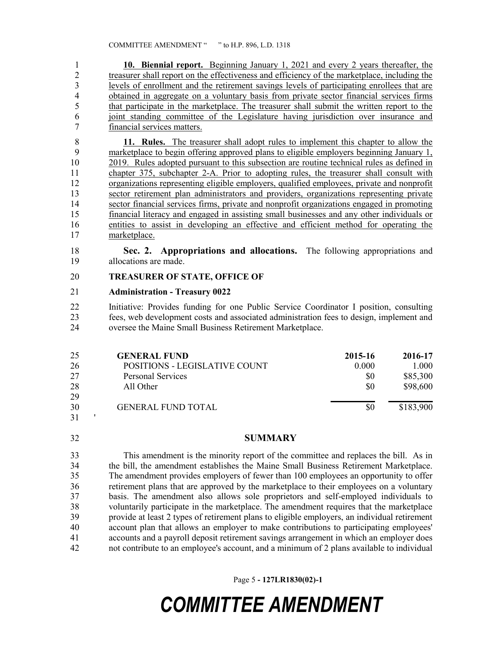**10. Biennial report.** Beginning January 1, 2021 and every 2 years thereafter, the treasurer shall report on the effectiveness and efficiency of the marketplace, including the levels of enrollment and the retirement savings levels of participating enrollees that are obtained in aggregate on a voluntary basis from private sector financial services firms 5 that participate in the marketplace. The treasurer shall submit the written report to the joint standing committee of the Legislature having jurisdiction over insurance and financial services matters.

 **11. Rules.** The treasurer shall adopt rules to implement this chapter to allow the marketplace to begin offering approved plans to eligible employers beginning January 1, 2019. Rules adopted pursuant to this subsection are routine technical rules as defined in chapter 375, subchapter 2-A. Prior to adopting rules, the treasurer shall consult with organizations representing eligible employers, qualified employees, private and nonprofit sector retirement plan administrators and providers, organizations representing private sector financial services firms, private and nonprofit organizations engaged in promoting financial literacy and engaged in assisting small businesses and any other individuals or entities to assist in developing an effective and efficient method for operating the marketplace.

 **Sec. 2. Appropriations and allocations.** The following appropriations and allocations are made.

#### **TREASURER OF STATE, OFFICE OF**

#### **Administration - Treasury 0022**

 Initiative: Provides funding for one Public Service Coordinator I position, consulting fees, web development costs and associated administration fees to design, implement and oversee the Maine Small Business Retirement Marketplace.

| 25  | <b>GENERAL FUND</b>           | 2015-16 | 2016-17   |
|-----|-------------------------------|---------|-----------|
| 26  | POSITIONS - LEGISLATIVE COUNT | 0.000   | 1.000     |
| 27  | <b>Personal Services</b>      | \$0     | \$85,300  |
| 28  | All Other                     | \$0     | \$98,600  |
| 29  |                               |         |           |
| 30  | <b>GENERAL FUND TOTAL</b>     | \$0     | \$183,900 |
| - - |                               |         |           |

'

#### **SUMMARY**

 This amendment is the minority report of the committee and replaces the bill. As in the bill, the amendment establishes the Maine Small Business Retirement Marketplace. The amendment provides employers of fewer than 100 employees an opportunity to offer retirement plans that are approved by the marketplace to their employees on a voluntary basis. The amendment also allows sole proprietors and self-employed individuals to voluntarily participate in the marketplace. The amendment requires that the marketplace provide at least 2 types of retirement plans to eligible employers, an individual retirement account plan that allows an employer to make contributions to participating employees' accounts and a payroll deposit retirement savings arrangement in which an employer does not contribute to an employee's account, and a minimum of 2 plans available to individual

Page 5 **- 127LR1830(02)-1**